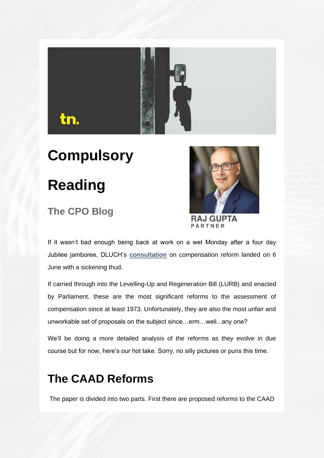

# **Compulsory**

## **Reading**

### **The CPO Blog**



**RAJ GUPTA** PARTNER

If it wasn't bad enough being back at work on a wet Monday after a four day Jubilee jamboree, DLUCH's **[consultation](https://eur02.safelinks.protection.outlook.com/?url=https%3A%2F%2Fprotect-eu.mimecast.com%2Fs%2FEFo-CL7R7HkpWqSAUeYI%3Fdomain%3Dd305dv04.eu1.hubspotlinksfree.com&data=05%7C01%7Coliver.pickett%40townlegal.com%7C4a40ce662f1d45f86f6408da49503d52%7C8d4ddfa418e9482e9bce7a54cdd600c1%7C1%7C0%7C637902906216436874%7CUnknown%7CTWFpbGZsb3d8eyJWIjoiMC4wLjAwMDAiLCJQIjoiV2luMzIiLCJBTiI6Ik1haWwiLCJXVCI6Mn0%3D%7C3000%7C%7C%7C&sdata=PaGo%2Bf%2FqSxikS1dKTgu6YYYns1vEMQbTmwo6prbsNiQ%3D&reserved=0)** on compensation reform landed on 6 June with a sickening thud.

If carried through into the Levelling-Up and Regeneration Bill (LURB) and enacted by Parliament, these are the most significant reforms to the assessment of compensation since at least 1973. Unfortunately, they are also the most unfair and unworkable set of proposals on the subject since…erm…well...any one?

We'll be doing a more detailed analysis of the reforms as they evolve in due course but for now, here's our hot take. Sorry, no silly pictures or puns this time.

### **The CAAD Reforms**

The paper is divided into two parts. First there are proposed reforms to the CAAD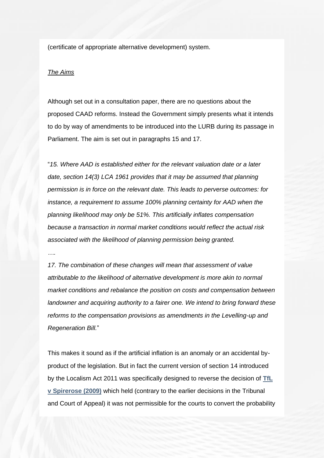(certificate of appropriate alternative development) system.

#### *The Aims*

Although set out in a consultation paper, there are no questions about the proposed CAAD reforms. Instead the Government simply presents what it intends to do by way of amendments to be introduced into the LURB during its passage in Parliament. The aim is set out in paragraphs 15 and 17.

"*15. Where AAD is established either for the relevant valuation date or a later date, section 14(3) LCA 1961 provides that it may be assumed that planning permission is in force on the relevant date. This leads to perverse outcomes: for instance, a requirement to assume 100% planning certainty for AAD when the planning likelihood may only be 51%. This artificially inflates compensation because a transaction in normal market conditions would reflect the actual risk associated with the likelihood of planning permission being granted.*

*….*

*17. The combination of these changes will mean that assessment of value attributable to the likelihood of alternative development is more akin to normal market conditions and rebalance the position on costs and compensation between landowner and acquiring authority to a fairer one. We intend to bring forward these reforms to the compensation provisions as amendments in the Levelling-up and Regeneration Bill.*"

This makes it sound as if the artificial inflation is an anomaly or an accidental byproduct of the legislation. But in fact the current version of section 14 introduced by the Localism Act 2011 was specifically designed to reverse the decision of **[TfL](https://eur02.safelinks.protection.outlook.com/?url=https%3A%2F%2Fprotect-eu.mimecast.com%2Fs%2FVl02CMw6wu20rPi987cR%3Fdomain%3Dd305dv04.eu1.hubspotlinksfree.com&data=05%7C01%7Coliver.pickett%40townlegal.com%7C4a40ce662f1d45f86f6408da49503d52%7C8d4ddfa418e9482e9bce7a54cdd600c1%7C1%7C0%7C637902906216436874%7CUnknown%7CTWFpbGZsb3d8eyJWIjoiMC4wLjAwMDAiLCJQIjoiV2luMzIiLCJBTiI6Ik1haWwiLCJXVCI6Mn0%3D%7C3000%7C%7C%7C&sdata=d%2Fbef%2F5FtZzYtI6VeXpLUr0LZOkDSwiDzcZcj7z1IVs%3D&reserved=0)  [v Spirerose \(2009\)](https://eur02.safelinks.protection.outlook.com/?url=https%3A%2F%2Fprotect-eu.mimecast.com%2Fs%2FVl02CMw6wu20rPi987cR%3Fdomain%3Dd305dv04.eu1.hubspotlinksfree.com&data=05%7C01%7Coliver.pickett%40townlegal.com%7C4a40ce662f1d45f86f6408da49503d52%7C8d4ddfa418e9482e9bce7a54cdd600c1%7C1%7C0%7C637902906216436874%7CUnknown%7CTWFpbGZsb3d8eyJWIjoiMC4wLjAwMDAiLCJQIjoiV2luMzIiLCJBTiI6Ik1haWwiLCJXVCI6Mn0%3D%7C3000%7C%7C%7C&sdata=d%2Fbef%2F5FtZzYtI6VeXpLUr0LZOkDSwiDzcZcj7z1IVs%3D&reserved=0)** which held (contrary to the earlier decisions in the Tribunal and Court of Appeal) it was not permissible for the courts to convert the probability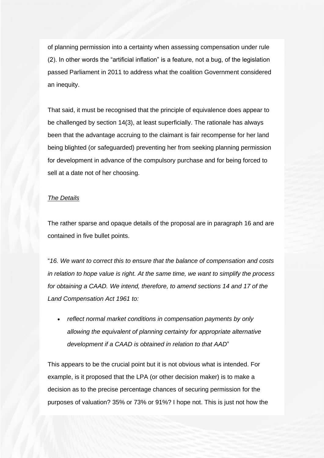of planning permission into a certainty when assessing compensation under rule (2). In other words the "artificial inflation" is a feature, not a bug, of the legislation passed Parliament in 2011 to address what the coalition Government considered an inequity.

That said, it must be recognised that the principle of equivalence does appear to be challenged by section 14(3), at least superficially. The rationale has always been that the advantage accruing to the claimant is fair recompense for her land being blighted (or safeguarded) preventing her from seeking planning permission for development in advance of the compulsory purchase and for being forced to sell at a date not of her choosing.

### *The Details*

The rather sparse and opaque details of the proposal are in paragraph 16 and are contained in five bullet points.

"*16. We want to correct this to ensure that the balance of compensation and costs in relation to hope value is right. At the same time, we want to simplify the process for obtaining a CAAD. We intend, therefore, to amend sections 14 and 17 of the Land Compensation Act 1961 to:*

• *reflect normal market conditions in compensation payments by only allowing the equivalent of planning certainty for appropriate alternative development if a CAAD is obtained in relation to that AAD*"

This appears to be the crucial point but it is not obvious what is intended. For example, is it proposed that the LPA (or other decision maker) is to make a decision as to the precise percentage chances of securing permission for the purposes of valuation? 35% or 73% or 91%? I hope not. This is just not how the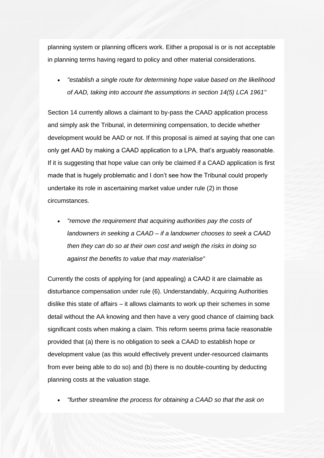planning system or planning officers work. Either a proposal is or is not acceptable in planning terms having regard to policy and other material considerations.

• *"establish a single route for determining hope value based on the likelihood of AAD, taking into account the assumptions in section 14(5) LCA 1961"*

Section 14 currently allows a claimant to by-pass the CAAD application process and simply ask the Tribunal, in determining compensation, to decide whether development would be AAD or not. If this proposal is aimed at saying that one can only get AAD by making a CAAD application to a LPA, that's arguably reasonable. If it is suggesting that hope value can only be claimed if a CAAD application is first made that is hugely problematic and I don't see how the Tribunal could properly undertake its role in ascertaining market value under rule (2) in those circumstances.

• *"remove the requirement that acquiring authorities pay the costs of landowners in seeking a CAAD – if a landowner chooses to seek a CAAD then they can do so at their own cost and weigh the risks in doing so against the benefits to value that may materialise"*

Currently the costs of applying for (and appealing) a CAAD it are claimable as disturbance compensation under rule (6). Understandably, Acquiring Authorities dislike this state of affairs – it allows claimants to work up their schemes in some detail without the AA knowing and then have a very good chance of claiming back significant costs when making a claim. This reform seems prima facie reasonable provided that (a) there is no obligation to seek a CAAD to establish hope or development value (as this would effectively prevent under-resourced claimants from ever being able to do so) and (b) there is no double-counting by deducting planning costs at the valuation stage.

• *"further streamline the process for obtaining a CAAD so that the ask on*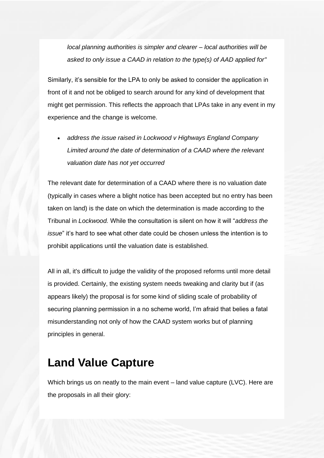*local planning authorities is simpler and clearer – local authorities will be asked to only issue a CAAD in relation to the type(s) of AAD applied for"*

Similarly, it's sensible for the LPA to only be asked to consider the application in front of it and not be obliged to search around for any kind of development that might get permission. This reflects the approach that LPAs take in any event in my experience and the change is welcome.

• *address the issue raised in Lockwood v Highways England Company Limited around the date of determination of a CAAD where the relevant valuation date has not yet occurred*

The relevant date for determination of a CAAD where there is no valuation date (typically in cases where a blight notice has been accepted but no entry has been taken on land) is the date on which the determination is made according to the Tribunal in *Lockwood.* While the consultation is silent on how it will "*address the issue*" it's hard to see what other date could be chosen unless the intention is to prohibit applications until the valuation date is established.

All in all, it's difficult to judge the validity of the proposed reforms until more detail is provided. Certainly, the existing system needs tweaking and clarity but if (as appears likely) the proposal is for some kind of sliding scale of probability of securing planning permission in a no scheme world, I'm afraid that belies a fatal misunderstanding not only of how the CAAD system works but of planning principles in general.

### **Land Value Capture**

Which brings us on neatly to the main event – land value capture (LVC). Here are the proposals in all their glory: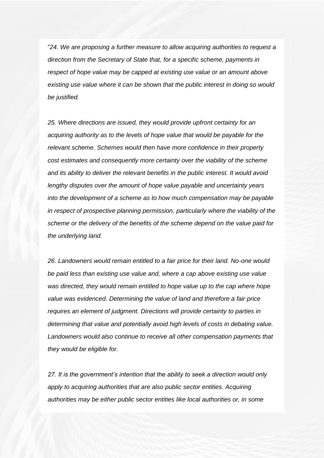"*24. We are proposing a further measure to allow acquiring authorities to request a direction from the Secretary of State that, for a specific scheme, payments in respect of hope value may be capped at existing use value or an amount above existing use value where it can be shown that the public interest in doing so would be justified.*

*25. Where directions are issued, they would provide upfront certainty for an acquiring authority as to the levels of hope value that would be payable for the relevant scheme. Schemes would then have more confidence in their property cost estimates and consequently more certainty over the viability of the scheme and its ability to deliver the relevant benefits in the public interest. It would avoid lengthy disputes over the amount of hope value payable and uncertainty years into the development of a scheme as to how much compensation may be payable in respect of prospective planning permission, particularly where the viability of the scheme or the delivery of the benefits of the scheme depend on the value paid for the underlying land.*

*26. Landowners would remain entitled to a fair price for their land. No-one would be paid less than existing use value and, where a cap above existing use value was directed, they would remain entitled to hope value up to the cap where hope value was evidenced. Determining the value of land and therefore a fair price requires an element of judgment. Directions will provide certainty to parties in determining that value and potentially avoid high levels of costs in debating value. Landowners would also continue to receive all other compensation payments that they would be eligible for.*

*27. It is the government's intention that the ability to seek a direction would only apply to acquiring authorities that are also public sector entities. Acquiring authorities may be either public sector entities like local authorities or, in some*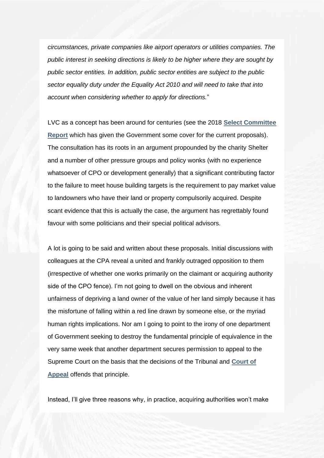*circumstances, private companies like airport operators or utilities companies. The public interest in seeking directions is likely to be higher where they are sought by public sector entities. In addition, public sector entities are subject to the public sector equality duty under the Equality Act 2010 and will need to take that into account when considering whether to apply for directions.*"

LVC as a concept has been around for centuries (see the 2018 **[Select Committee](https://eur02.safelinks.protection.outlook.com/?url=https%3A%2F%2Fprotect-eu.mimecast.com%2Fs%2FMRIwCNLRLFZrWLC7dmJM%3Fdomain%3Dd305dv04.eu1.hubspotlinksfree.com&data=05%7C01%7Coliver.pickett%40townlegal.com%7C4a40ce662f1d45f86f6408da49503d52%7C8d4ddfa418e9482e9bce7a54cdd600c1%7C1%7C0%7C637902906216593078%7CUnknown%7CTWFpbGZsb3d8eyJWIjoiMC4wLjAwMDAiLCJQIjoiV2luMzIiLCJBTiI6Ik1haWwiLCJXVCI6Mn0%3D%7C3000%7C%7C%7C&sdata=PH2MY1ouGW9Eu%2BQnvcCjkgeSAPk6gWmngFfbBwFVf5M%3D&reserved=0)  [Report](https://eur02.safelinks.protection.outlook.com/?url=https%3A%2F%2Fprotect-eu.mimecast.com%2Fs%2FMRIwCNLRLFZrWLC7dmJM%3Fdomain%3Dd305dv04.eu1.hubspotlinksfree.com&data=05%7C01%7Coliver.pickett%40townlegal.com%7C4a40ce662f1d45f86f6408da49503d52%7C8d4ddfa418e9482e9bce7a54cdd600c1%7C1%7C0%7C637902906216593078%7CUnknown%7CTWFpbGZsb3d8eyJWIjoiMC4wLjAwMDAiLCJQIjoiV2luMzIiLCJBTiI6Ik1haWwiLCJXVCI6Mn0%3D%7C3000%7C%7C%7C&sdata=PH2MY1ouGW9Eu%2BQnvcCjkgeSAPk6gWmngFfbBwFVf5M%3D&reserved=0)** which has given the Government some cover for the current proposals). The consultation has its roots in an argument propounded by the charity Shelter and a number of other pressure groups and policy wonks (with no experience whatsoever of CPO or development generally) that a significant contributing factor to the failure to meet house building targets is the requirement to pay market value to landowners who have their land or property compulsorily acquired. Despite scant evidence that this is actually the case, the argument has regrettably found favour with some politicians and their special political advisors.

A lot is going to be said and written about these proposals. Initial discussions with colleagues at the CPA reveal a united and frankly outraged opposition to them (irrespective of whether one works primarily on the claimant or acquiring authority side of the CPO fence). I'm not going to dwell on the obvious and inherent unfairness of depriving a land owner of the value of her land simply because it has the misfortune of falling within a red line drawn by someone else, or the myriad human rights implications. Nor am I going to point to the irony of one department of Government seeking to destroy the fundamental principle of equivalence in the very same week that another department secures permission to appeal to the Supreme Court on the basis that the decisions of the Tribunal and **[Court of](https://eur02.safelinks.protection.outlook.com/?url=https%3A%2F%2Fprotect-eu.mimecast.com%2Fs%2FVL8xCOMRMuN98YcpLcSE%3Fdomain%3Dd305dv04.eu1.hubspotlinksfree.com&data=05%7C01%7Coliver.pickett%40townlegal.com%7C4a40ce662f1d45f86f6408da49503d52%7C8d4ddfa418e9482e9bce7a54cdd600c1%7C1%7C0%7C637902906216593078%7CUnknown%7CTWFpbGZsb3d8eyJWIjoiMC4wLjAwMDAiLCJQIjoiV2luMzIiLCJBTiI6Ik1haWwiLCJXVCI6Mn0%3D%7C3000%7C%7C%7C&sdata=teAQTbAbBi1hFCYSWp%2B%2FumfAk%2B6KskJgPiH6T1QRTKc%3D&reserved=0)  [Appeal](https://eur02.safelinks.protection.outlook.com/?url=https%3A%2F%2Fprotect-eu.mimecast.com%2Fs%2FVL8xCOMRMuN98YcpLcSE%3Fdomain%3Dd305dv04.eu1.hubspotlinksfree.com&data=05%7C01%7Coliver.pickett%40townlegal.com%7C4a40ce662f1d45f86f6408da49503d52%7C8d4ddfa418e9482e9bce7a54cdd600c1%7C1%7C0%7C637902906216593078%7CUnknown%7CTWFpbGZsb3d8eyJWIjoiMC4wLjAwMDAiLCJQIjoiV2luMzIiLCJBTiI6Ik1haWwiLCJXVCI6Mn0%3D%7C3000%7C%7C%7C&sdata=teAQTbAbBi1hFCYSWp%2B%2FumfAk%2B6KskJgPiH6T1QRTKc%3D&reserved=0)** offends that principle.

Instead, I'll give three reasons why, in practice, acquiring authorities won't make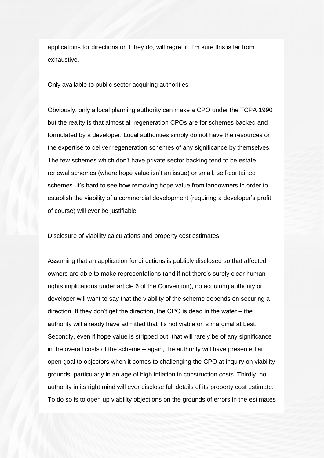applications for directions or if they do, will regret it. I'm sure this is far from exhaustive.

#### Only available to public sector acquiring authorities

Obviously, only a local planning authority can make a CPO under the TCPA 1990 but the reality is that almost all regeneration CPOs are for schemes backed and formulated by a developer. Local authorities simply do not have the resources or the expertise to deliver regeneration schemes of any significance by themselves. The few schemes which don't have private sector backing tend to be estate renewal schemes (where hope value isn't an issue) or small, self-contained schemes. It's hard to see how removing hope value from landowners in order to establish the viability of a commercial development (requiring a developer's profit of course) will ever be justifiable.

### Disclosure of viability calculations and property cost estimates

Assuming that an application for directions is publicly disclosed so that affected owners are able to make representations (and if not there's surely clear human rights implications under article 6 of the Convention), no acquiring authority or developer will want to say that the viability of the scheme depends on securing a direction. If they don't get the direction, the CPO is dead in the water – the authority will already have admitted that it's not viable or is marginal at best. Secondly, even if hope value is stripped out, that will rarely be of any significance in the overall costs of the scheme – again, the authority will have presented an open goal to objectors when it comes to challenging the CPO at inquiry on viability grounds, particularly in an age of high inflation in construction costs. Thirdly, no authority in its right mind will ever disclose full details of its property cost estimate. To do so is to open up viability objections on the grounds of errors in the estimates